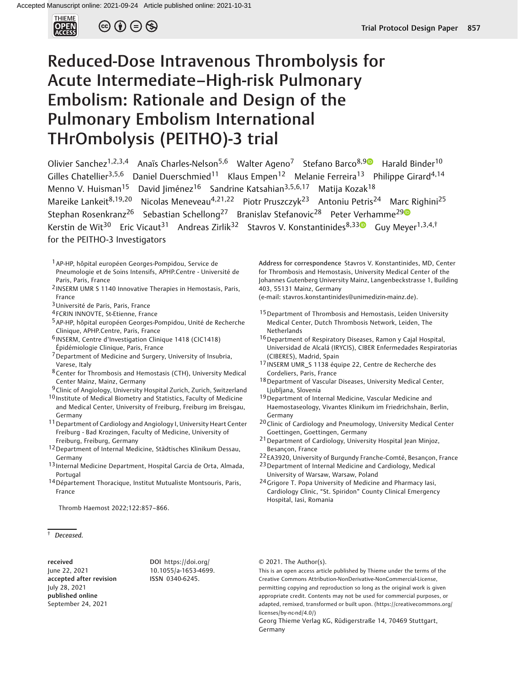

 $\circledcirc$   $\oplus$   $\circledcirc$ 

# Reduced-Dose Intravenous Thrombolysis for Acute Intermediate–High-risk Pulmonary Embolism: Rationale and Design of the Pulmonary Embolism International THrOmbolysis (PEITHO)-3 trial

Olivier Sanchez<sup>1,2,3,4</sup> Anaïs Charles-Nelson<sup>5,6</sup> Walter Ageno<sup>7</sup> Stefano Barco<sup>8,[9](https://orcid.org/0000-0002-2618-347X)</sup> Harald Binder<sup>10</sup> Gilles Chatellier<sup>3,5,6</sup> Daniel Duerschmied<sup>11</sup> Klaus Empen<sup>12</sup> Melanie Ferreira<sup>13</sup> Philippe Girard<sup>4,14</sup> Menno V. Huisman<sup>15</sup> David Jiménez<sup>16</sup> Sandrine Katsahian<sup>3,5,6,17</sup> Matija Kozak<sup>18</sup> Mareike Lankeit<sup>8,19,20</sup> Nicolas Meneveau<sup>4,21,22</sup> Piotr Pruszczyk<sup>23</sup> Antoniu Petris<sup>24</sup> Marc Righini<sup>25</sup> Stephan Rosenkranz<sup>26</sup> Sebastian Schellong<sup>27</sup> Branislav Stefanovic<sup>28</sup> Peter Verhamme<sup>2[9](https://orcid.org/0000-0001-8698-2858)</sup> Kerstin de Wit<sup>30</sup> Eric Vicaut<sup>31</sup> Andreas Zirlik<sup>32</sup> Stavros V. Konstantinides<sup>8,33</sup> Guy Meyer<sup>1,3,4,†</sup> for the PEITHO-3 Investigators

- 1AP-HP, hôpital européen Georges-Pompidou, Service de Pneumologie et de Soins Intensifs, APHP.Centre - Université de Paris, Paris, France
- 2 INSERM UMR S 1140 Innovative Therapies in Hemostasis, Paris, France
- 3Université de Paris, Paris, France
- 4 FCRIN INNOVTE, St-Etienne, France
- 5AP-HP, hôpital européen Georges-Pompidou, Unité de Recherche Clinique, APHP.Centre, Paris, France
- 6 INSERM, Centre d'Investigation Clinique 1418 (CIC1418)
- Épidémiologie Clinique, Paris, France
- 7Department of Medicine and Surgery, University of Insubria, Varese, Italy
- 8Center for Thrombosis and Hemostasis (CTH), University Medical Center Mainz, Mainz, Germany
- 9Clinic of Angiology, University Hospital Zurich, Zurich, Switzerland
- 10 Institute of Medical Biometry and Statistics, Faculty of Medicine and Medical Center, University of Freiburg, Freiburg im Breisgau, Germany
- 11Department of Cardiology and Angiology I, University Heart Center Freiburg - Bad Krozingen, Faculty of Medicine, University of Freiburg, Freiburg, Germany
- 12 Department of Internal Medicine, Städtisches Klinikum Dessau, Germany
- 13 Internal Medicine Department, Hospital Garcia de Orta, Almada, Portugal
- 14Département Thoracique, Institut Mutualiste Montsouris, Paris, France

Thromb Haemost 2022;122:857–866.

† Deceased.

received June 22, 2021 accepted after revision July 28, 2021 published online September 24, 2021

DOI [https://doi.org/](https://doi.org/10.1055/a-1653-4699) [10.1055/a-1653-4699.](https://doi.org/10.1055/a-1653-4699) ISSN 0340-6245.

Address for correspondence Stavros V. Konstantinides, MD, Center for Thrombosis and Hemostasis, University Medical Center of the Johannes Gutenberg University Mainz, Langenbeckstrasse 1, Building 403, 55131 Mainz, Germany

(e-mail: [stavros.konstantinides@unimedizin-mainz.de](mailto:stavros.konstantinides@unimedizin-mainz.de)).

- 15 Department of Thrombosis and Hemostasis, Leiden University Medical Center, Dutch Thrombosis Network, Leiden, The Netherlands
- 16Department of Respiratory Diseases, Ramon y Cajal Hospital, Universidad de Alcalá (IRYCIS), CIBER Enfermedades Respiratorias (CIBERES), Madrid, Spain
- 17 INSERM UMR\_S 1138 équipe 22, Centre de Recherche des Cordeliers, Paris, France
- 18 Department of Vascular Diseases, University Medical Center, Ljubljana, Slovenia
- <sup>19</sup> Department of Internal Medicine, Vascular Medicine and Haemostaseology, Vivantes Klinikum im Friedrichshain, Berlin, Germany
- 20 Clinic of Cardiology and Pneumology, University Medical Center Goettingen, Goettingen, Germany
- 21Department of Cardiology, University Hospital Jean Minjoz, Besançon, France
- 22 EA3920, University of Burgundy Franche-Comté, Besançon, France
- 23Department of Internal Medicine and Cardiology, Medical University of Warsaw, Warsaw, Poland
- 24 Grigore T. Popa University of Medicine and Pharmacy Iasi, Cardiology Clinic, "St. Spiridon" County Clinical Emergency Hospital, Iasi, Romania

# © 2021. The Author(s).

This is an open access article published by Thieme under the terms of the Creative Commons Attribution-NonDerivative-NonCommercial-License, permitting copying and reproduction so long as the original work is given appropriate credit. Contents may not be used for commercial purposes, or adapted, remixed, transformed or built upon. (https://creativecommons.org/ licenses/by-nc-nd/4.0/)

Georg Thieme Verlag KG, Rüdigerstraße 14, 70469 Stuttgart, Germany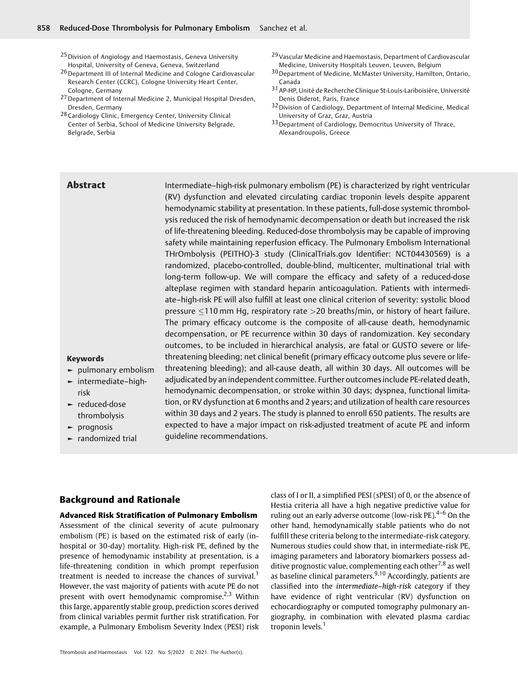- 25 Division of Angiology and Haemostasis, Geneva University Hospital, University of Geneva, Geneva, Switzerland
- 26 Department III of Internal Medicine and Cologne Cardiovascular Research Center (CCRC), Cologne University Heart Center, Cologne, Germany
- 27Department of Internal Medicine 2, Municipal Hospital Dresden, Dresden, Germany
- 28 Cardiology Clinic, Emergency Center, University Clinical Center of Serbia, School of Medicine University Belgrade, Belgrade, Serbia
- 29Vascular Medicine and Haemostasis, Department of Cardiovascular Medicine, University Hospitals Leuven, Leuven, Belgium
- 30Department of Medicine, McMaster University, Hamilton, Ontario, Canada
- 31AP-HP, Unité de Recherche Clinique St-Louis-Lariboisière, Université Denis Diderot, Paris, France
- 32 Division of Cardiology, Department of Internal Medicine, Medical University of Graz, Graz, Austria
- 33 Department of Cardiology, Democritus University of Thrace, Alexandroupolis, Greece

Abstract Intermediate–high-risk pulmonary embolism (PE) is characterized by right ventricular (RV) dysfunction and elevated circulating cardiac troponin levels despite apparent hemodynamic stability at presentation. In these patients, full-dose systemic thrombolysis reduced the risk of hemodynamic decompensation or death but increased the risk of life-threatening bleeding. Reduced-dose thrombolysis may be capable of improving safety while maintaining reperfusion efficacy. The Pulmonary Embolism International THrOmbolysis (PEITHO)-3 study (ClinicalTrials.gov Identifier: NCT04430569) is a randomized, placebo-controlled, double-blind, multicenter, multinational trial with long-term follow-up. We will compare the efficacy and safety of a reduced-dose alteplase regimen with standard heparin anticoagulation. Patients with intermediate–high-risk PE will also fulfill at least one clinical criterion of severity: systolic blood pressure  $\leq$ 110 mm Hg, respiratory rate  $>$ 20 breaths/min, or history of heart failure. The primary efficacy outcome is the composite of all-cause death, hemodynamic decompensation, or PE recurrence within 30 days of randomization. Key secondary outcomes, to be included in hierarchical analysis, are fatal or GUSTO severe or lifethreatening bleeding; net clinical benefit (primary efficacy outcome plus severe or lifethreatening bleeding); and all-cause death, all within 30 days. All outcomes will be adjudicated by an independent committee. Further outcomes include PE-related death, hemodynamic decompensation, or stroke within 30 days; dyspnea, functional limitation, or RV dysfunction at 6 months and 2 years; and utilization of health care resources within 30 days and 2 years. The study is planned to enroll 650 patients. The results are expected to have a major impact on risk-adjusted treatment of acute PE and inform guideline recommendations.

# Keywords

- ► pulmonary embolism
- ► intermediate–highrisk
- ► reduced-dose thrombolysis
- ► prognosis
- ► randomized trial

# Background and Rationale

### Advanced Risk Stratification of Pulmonary Embolism

Assessment of the clinical severity of acute pulmonary embolism (PE) is based on the estimated risk of early (inhospital or 30-day) mortality. High-risk PE, defined by the presence of hemodynamic instability at presentation, is a life-threatening condition in which prompt reperfusion treatment is needed to increase the chances of survival.<sup>1</sup> However, the vast majority of patients with acute PE do not present with overt hemodynamic compromise.<sup>2,3</sup> Within this large, apparently stable group, prediction scores derived from clinical variables permit further risk stratification. For example, a Pulmonary Embolism Severity Index (PESI) risk

class of I or II, a simplified PESI (sPESI) of 0, or the absence of Hestia criteria all have a high negative predictive value for ruling out an early adverse outcome (low-risk PE).<sup>4-6</sup> On the other hand, hemodynamically stable patients who do not fulfill these criteria belong to the intermediate-risk category. Numerous studies could show that, in intermediate-risk PE, imaging parameters and laboratory biomarkers possess additive prognostic value, complementing each other<sup>7,8</sup> as well as baseline clinical parameters. $9,10$  Accordingly, patients are classified into the intermediate–high-risk category if they have evidence of right ventricular (RV) dysfunction on echocardiography or computed tomography pulmonary angiography, in combination with elevated plasma cardiac troponin levels.<sup>1</sup>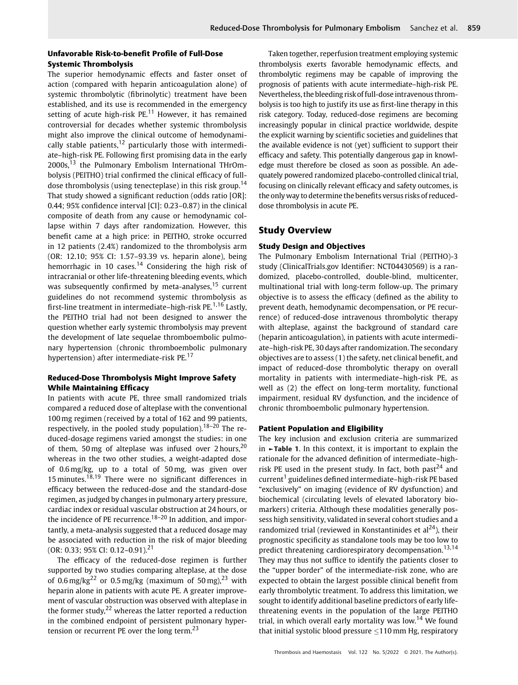# Unfavorable Risk-to-benefit Profile of Full-Dose Systemic Thrombolysis

The superior hemodynamic effects and faster onset of action (compared with heparin anticoagulation alone) of systemic thrombolytic (fibrinolytic) treatment have been established, and its use is recommended in the emergency setting of acute high-risk  $PE<sup>11</sup>$  However, it has remained controversial for decades whether systemic thrombolysis might also improve the clinical outcome of hemodynamically stable patients, $12$  particularly those with intermediate–high-risk PE. Following first promising data in the early 2000s,<sup>13</sup> the Pulmonary Embolism International THrOmbolysis (PEITHO) trial confirmed the clinical efficacy of fulldose thrombolysis (using tenecteplase) in this risk group.<sup>14</sup> That study showed a significant reduction (odds ratio [OR]: 0.44; 95% confidence interval [CI]: 0.23–0.87) in the clinical composite of death from any cause or hemodynamic collapse within 7 days after randomization. However, this benefit came at a high price: in PEITHO, stroke occurred in 12 patients (2.4%) randomized to the thrombolysis arm (OR: 12.10; 95% CI: 1.57–93.39 vs. heparin alone), being hemorrhagic in 10 cases.<sup>14</sup> Considering the high risk of intracranial or other life-threatening bleeding events, which was subsequently confirmed by meta-analyses,  $15$  current guidelines do not recommend systemic thrombolysis as first-line treatment in intermediate–high-risk PE.<sup>1,16</sup> Lastly, the PEITHO trial had not been designed to answer the question whether early systemic thrombolysis may prevent the development of late sequelae thromboembolic pulmonary hypertension (chronic thromboembolic pulmonary hypertension) after intermediate-risk PE.<sup>17</sup>

# Reduced-Dose Thrombolysis Might Improve Safety While Maintaining Efficacy

In patients with acute PE, three small randomized trials compared a reduced dose of alteplase with the conventional 100 mg regimen (received by a total of 162 and 99 patients, respectively, in the pooled study population).<sup>18-20</sup> The reduced-dosage regimens varied amongst the studies: in one of them, 50 mg of alteplase was infused over 2 hours,  $20$ whereas in the two other studies, a weight-adapted dose of 0.6 mg/kg, up to a total of 50 mg, was given over 15 minutes. $18,19$  There were no significant differences in efficacy between the reduced-dose and the standard-dose regimen, as judged by changes in pulmonary artery pressure, cardiac index or residual vascular obstruction at 24 hours, or the incidence of PE recurrence.<sup>18–20</sup> In addition, and importantly, a meta-analysis suggested that a reduced dosage may be associated with reduction in the risk of major bleeding (OR: 0.33; 95% CI: 0.12–0.91).<sup>21</sup>

The efficacy of the reduced-dose regimen is further supported by two studies comparing alteplase, at the dose of 0.6 mg/kg<sup>22</sup> or 0.5 mg/kg (maximum of 50 mg),<sup>23</sup> with heparin alone in patients with acute PE. A greater improvement of vascular obstruction was observed with alteplase in the former study, $^{22}$  whereas the latter reported a reduction in the combined endpoint of persistent pulmonary hypertension or recurrent PE over the long term.<sup>23</sup>

Taken together, reperfusion treatment employing systemic thrombolysis exerts favorable hemodynamic effects, and thrombolytic regimens may be capable of improving the prognosis of patients with acute intermediate–high-risk PE. Nevertheless, the bleeding risk of full-dose intravenous thrombolysis is too high to justify its use as first-line therapy in this risk category. Today, reduced-dose regimens are becoming increasingly popular in clinical practice worldwide, despite the explicit warning by scientific societies and guidelines that the available evidence is not (yet) sufficient to support their efficacy and safety. This potentially dangerous gap in knowledge must therefore be closed as soon as possible. An adequately powered randomized placebo-controlled clinical trial, focusing on clinically relevant efficacy and safety outcomes, is the only way to determine the benefits versus risks of reduceddose thrombolysis in acute PE.

# Study Overview

# Study Design and Objectives

The Pulmonary Embolism International Trial (PEITHO)-3 study (ClinicalTrials.gov Identifier: NCT04430569) is a randomized, placebo-controlled, double-blind, multicenter, multinational trial with long-term follow-up. The primary objective is to assess the efficacy (defined as the ability to prevent death, hemodynamic decompensation, or PE recurrence) of reduced-dose intravenous thrombolytic therapy with alteplase, against the background of standard care (heparin anticoagulation), in patients with acute intermediate–high-risk PE, 30 days after randomization. The secondary objectives are to assess (1) the safety, net clinical benefit, and impact of reduced-dose thrombolytic therapy on overall mortality in patients with intermediate–high-risk PE, as well as (2) the effect on long-term mortality, functional impairment, residual RV dysfunction, and the incidence of chronic thromboembolic pulmonary hypertension.

# Patient Population and Eligibility

The key inclusion and exclusion criteria are summarized in ►Table 1. In this context, it is important to explain the rationale for the advanced definition of intermediate–highrisk PE used in the present study. In fact, both past<sup>24</sup> and current<sup>1</sup> guidelines defined intermediate-high-risk PE based "exclusively" on imaging (evidence of RV dysfunction) and biochemical (circulating levels of elevated laboratory biomarkers) criteria. Although these modalities generally possess high sensitivity, validated in several cohort studies and a randomized trial (reviewed in Konstantinides et al<sup>24</sup>), their prognostic specificity as standalone tools may be too low to predict threatening cardiorespiratory decompensation.<sup>13,14</sup> They may thus not suffice to identify the patients closer to the "upper border" of the intermediate-risk zone, who are expected to obtain the largest possible clinical benefit from early thrombolytic treatment. To address this limitation, we sought to identify additional baseline predictors of early lifethreatening events in the population of the large PEITHO trial, in which overall early mortality was low.<sup>14</sup> We found that initial systolic blood pressure  $\leq$ 110 mm Hg, respiratory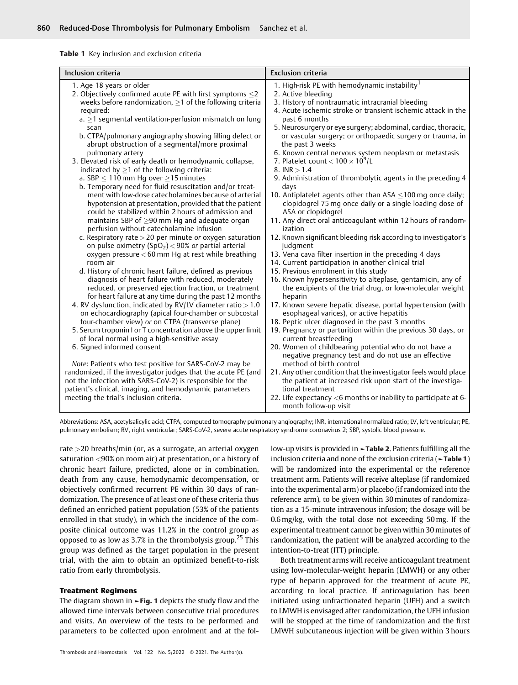Table 1 Key inclusion and exclusion criteria

| Inclusion criteria                                                                                                                                                                                                                                                                                                                                                                                                                                                                                                                                                                                                                                                                                                                                                                                                                                                                                                                                                                                                                                                                                                                                                                                                                                                                                                                                                                                                                                                                                                                                                                                                                                                                                                                                                                                                                                                                                                                                    | <b>Exclusion criteria</b>                                                                                                                                                                                                                                                                                                                                                                                                                                                                                                                                                                                                                                                                                                                                                                                                                                                                                                                                                                                                                                                                                                                                                                                                                                                                                                                                                                                                                                                                                                                                                                                                                                                                                                                                                                                                                                |
|-------------------------------------------------------------------------------------------------------------------------------------------------------------------------------------------------------------------------------------------------------------------------------------------------------------------------------------------------------------------------------------------------------------------------------------------------------------------------------------------------------------------------------------------------------------------------------------------------------------------------------------------------------------------------------------------------------------------------------------------------------------------------------------------------------------------------------------------------------------------------------------------------------------------------------------------------------------------------------------------------------------------------------------------------------------------------------------------------------------------------------------------------------------------------------------------------------------------------------------------------------------------------------------------------------------------------------------------------------------------------------------------------------------------------------------------------------------------------------------------------------------------------------------------------------------------------------------------------------------------------------------------------------------------------------------------------------------------------------------------------------------------------------------------------------------------------------------------------------------------------------------------------------------------------------------------------------|----------------------------------------------------------------------------------------------------------------------------------------------------------------------------------------------------------------------------------------------------------------------------------------------------------------------------------------------------------------------------------------------------------------------------------------------------------------------------------------------------------------------------------------------------------------------------------------------------------------------------------------------------------------------------------------------------------------------------------------------------------------------------------------------------------------------------------------------------------------------------------------------------------------------------------------------------------------------------------------------------------------------------------------------------------------------------------------------------------------------------------------------------------------------------------------------------------------------------------------------------------------------------------------------------------------------------------------------------------------------------------------------------------------------------------------------------------------------------------------------------------------------------------------------------------------------------------------------------------------------------------------------------------------------------------------------------------------------------------------------------------------------------------------------------------------------------------------------------------|
| 1. Age 18 years or older<br>2. Objectively confirmed acute PE with first symptoms $\leq$ 2<br>weeks before randomization, $\geq$ 1 of the following criteria<br>required:<br>$a. \geq 1$ segmental ventilation-perfusion mismatch on lung<br>scan<br>b. CTPA/pulmonary angiography showing filling defect or<br>abrupt obstruction of a segmental/more proximal<br>pulmonary artery<br>3. Elevated risk of early death or hemodynamic collapse,<br>indicated by $\geq$ 1 of the following criteria:<br>a. SBP $\leq$ 110 mm Hq over $\geq$ 15 minutes<br>b. Temporary need for fluid resuscitation and/or treat-<br>ment with low-dose catecholamines because of arterial<br>hypotension at presentation, provided that the patient<br>could be stabilized within 2 hours of admission and<br>maintains SBP of $\geq$ 90 mm Hq and adequate organ<br>perfusion without catecholamine infusion<br>c. Respiratory rate $>$ 20 per minute or oxygen saturation<br>on pulse oximetry $(SpO2) < 90%$ or partial arterial<br>oxygen pressure $<$ 60 mm Hq at rest while breathing<br>room air<br>d. History of chronic heart failure, defined as previous<br>diagnosis of heart failure with reduced, moderately<br>reduced, or preserved ejection fraction, or treatment<br>for heart failure at any time during the past 12 months<br>4. RV dysfunction, indicated by RV/LV diameter ratio > 1.0<br>on echocardiography (apical four-chamber or subcostal<br>four-chamber view) or on CTPA (transverse plane)<br>5. Serum troponin I or T concentration above the upper limit<br>of local normal using a high-sensitive assay<br>6. Signed informed consent<br>Note: Patients who test positive for SARS-CoV-2 may be<br>randomized, if the investigator judges that the acute PE (and<br>not the infection with SARS-CoV-2) is responsible for the<br>patient's clinical, imaging, and hemodynamic parameters<br>meeting the trial's inclusion criteria. | 1. High-risk PE with hemodynamic instability <sup>1</sup><br>2. Active bleeding<br>3. History of nontraumatic intracranial bleeding<br>4. Acute ischemic stroke or transient ischemic attack in the<br>past 6 months<br>5. Neurosurgery or eye surgery; abdominal, cardiac, thoracic,<br>or vascular surgery; or orthopaedic surgery or trauma, in<br>the past 3 weeks<br>6. Known central nervous system neoplasm or metastasis<br>7. Platelet count $<$ 100 $\times$ 10 <sup>9</sup> /L<br>8. INR $> 1.4$<br>9. Administration of thrombolytic agents in the preceding 4<br>days<br>10. Antiplatelet agents other than ASA $\leq$ 100 mg once daily;<br>clopidogrel 75 mg once daily or a single loading dose of<br>ASA or clopidogrel<br>11. Any direct oral anticoagulant within 12 hours of random-<br>ization<br>12. Known significant bleeding risk according to investigator's<br>judgment<br>13. Vena cava filter insertion in the preceding 4 days<br>14. Current participation in another clinical trial<br>15. Previous enrolment in this study<br>16. Known hypersensitivity to alteplase, gentamicin, any of<br>the excipients of the trial drug, or low-molecular weight<br>heparin<br>17. Known severe hepatic disease, portal hypertension (with<br>esophageal varices), or active hepatitis<br>18. Peptic ulcer diagnosed in the past 3 months<br>19. Pregnancy or parturition within the previous 30 days, or<br>current breastfeeding<br>20. Women of childbearing potential who do not have a<br>negative pregnancy test and do not use an effective<br>method of birth control<br>21. Any other condition that the investigator feels would place<br>the patient at increased risk upon start of the investiga-<br>tional treatment<br>22. Life expectancy $<$ 6 months or inability to participate at 6-<br>month follow-up visit |

Abbreviations: ASA, acetylsalicylic acid; CTPA, computed tomography pulmonary angiography; INR, international normalized ratio; LV, left ventricular; PE, pulmonary embolism; RV, right ventricular; SARS-CoV-2, severe acute respiratory syndrome coronavirus 2; SBP, systolic blood pressure.

rate >20 breaths/min (or, as a surrogate, an arterial oxygen saturation <90% on room air) at presentation, or a history of chronic heart failure, predicted, alone or in combination, death from any cause, hemodynamic decompensation, or objectively confirmed recurrent PE within 30 days of randomization. The presence of at least one of these criteria thus defined an enriched patient population (53% of the patients enrolled in that study), in which the incidence of the composite clinical outcome was 11.2% in the control group as opposed to as low as 3.7% in the thrombolysis group.<sup>25</sup> This group was defined as the target population in the present trial, with the aim to obtain an optimized benefit-to-risk ratio from early thrombolysis.

#### Treatment Regimens

The diagram shown in ►Fig. 1 depicts the study flow and the allowed time intervals between consecutive trial procedures and visits. An overview of the tests to be performed and parameters to be collected upon enrolment and at the fol-

Thrombosis and Haemostasis Vol. 122 No. 5/2022 © 2021. The Author(s).

low-up visits is provided in ►Table 2. Patients fulfilling all the inclusion criteria and none of the exclusion criteria (►Table 1) will be randomized into the experimental or the reference treatment arm. Patients will receive alteplase (if randomized into the experimental arm) or placebo (if randomized into the reference arm), to be given within 30minutes of randomization as a 15-minute intravenous infusion; the dosage will be 0.6 mg/kg, with the total dose not exceeding 50 mg. If the experimental treatment cannot be given within 30minutes of randomization, the patient will be analyzed according to the intention-to-treat (ITT) principle.

Both treatment arms will receive anticoagulant treatment using low-molecular-weight heparin (LMWH) or any other type of heparin approved for the treatment of acute PE, according to local practice. If anticoagulation has been initiated using unfractionated heparin (UFH) and a switch to LMWH is envisaged after randomization, the UFH infusion will be stopped at the time of randomization and the first LMWH subcutaneous injection will be given within 3 hours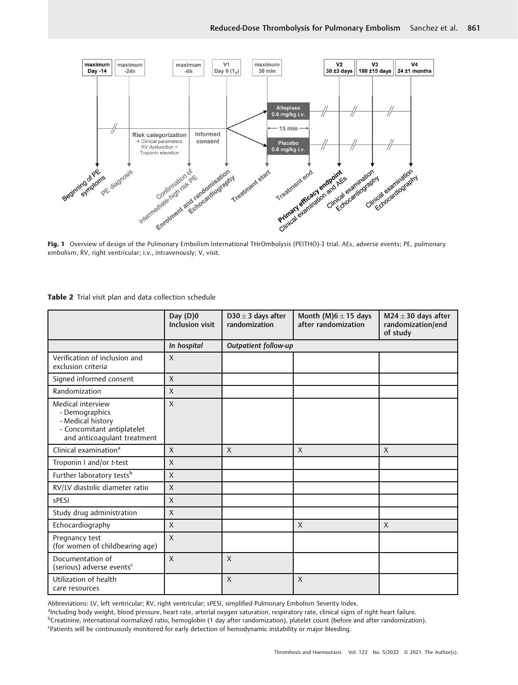

Fig. 1 Overview of design of the Pulmonary Embolism International THrOmbolysis (PEITHO)-3 trial. AEs, adverse events; PE, pulmonary embolism, RV, right ventricular; i.v., intravenously; V, visit.

|  |  |  |  | Table 2 Trial visit plan and data collection schedule |  |
|--|--|--|--|-------------------------------------------------------|--|
|--|--|--|--|-------------------------------------------------------|--|

|                                                                                                                       | Day $(D)0$<br><b>Inclusion visit</b> | D30 $\pm$ 3 days after<br>randomization | Month (M) $6 \pm 15$ days<br>after randomization | M24 $\pm$ 30 days after<br>randomization/end<br>of study |  |
|-----------------------------------------------------------------------------------------------------------------------|--------------------------------------|-----------------------------------------|--------------------------------------------------|----------------------------------------------------------|--|
|                                                                                                                       | In hospital                          | Outpatient follow-up                    |                                                  |                                                          |  |
| Verification of inclusion and<br>exclusion criteria                                                                   | $\mathsf{X}$                         |                                         |                                                  |                                                          |  |
| Signed informed consent                                                                                               | $\chi$                               |                                         |                                                  |                                                          |  |
| Randomization                                                                                                         | $\mathsf{X}$                         |                                         |                                                  |                                                          |  |
| Medical interview<br>- Demographics<br>- Medical history<br>- Concomitant antiplatelet<br>and anticoagulant treatment | $\mathsf{X}$                         |                                         |                                                  |                                                          |  |
| Clinical examination <sup>a</sup>                                                                                     | $\mathsf{X}$                         | $\mathsf{X}$                            | $\mathsf{X}$                                     | $\mathsf{X}$                                             |  |
| Troponin I and/or t-test                                                                                              | $\chi$                               |                                         |                                                  |                                                          |  |
| Further laboratory tests <sup>b</sup>                                                                                 | $\mathsf{X}$                         |                                         |                                                  |                                                          |  |
| RV/LV diastolic diameter ratio                                                                                        | $\mathsf{X}$                         |                                         |                                                  |                                                          |  |
| sPESI                                                                                                                 | $\mathsf{X}$                         |                                         |                                                  |                                                          |  |
| Study drug administration                                                                                             | $\mathsf{X}$                         |                                         |                                                  |                                                          |  |
| Echocardiography                                                                                                      | X                                    |                                         | X                                                | $\mathsf{X}$                                             |  |
| Pregnancy test<br>(for women of childbearing age)                                                                     | $\mathsf{X}$                         |                                         |                                                  |                                                          |  |
| Documentation of<br>(serious) adverse events <sup>c</sup>                                                             | $\mathsf{X}$                         | $\mathsf{X}$                            |                                                  |                                                          |  |
| Utilization of health<br>care resources                                                                               |                                      | $\mathsf{X}$                            | $\mathsf{X}$                                     |                                                          |  |

Abbreviations: LV, left ventricular; RV, right ventricular; sPESI, simplified Pulmonary Embolism Severity Index.

ancluding body weight, blood pressure, heart rate, arterial oxygen saturation, respiratory rate, clinical signs of right heart failure.

<sup>b</sup>Creatinine, international normalized ratio, hemoglobin (1 day after randomization), platelet count (before and after randomization).

<sup>c</sup>Patients will be continuously monitored for early detection of hemodynamic instability or major bleeding.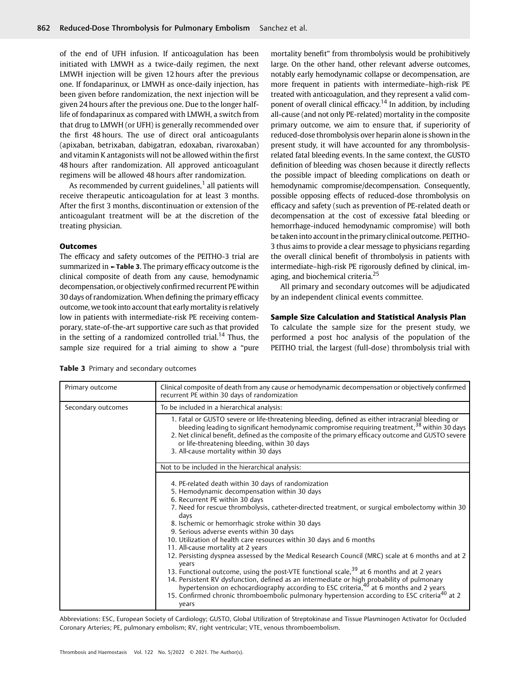of the end of UFH infusion. If anticoagulation has been initiated with LMWH as a twice-daily regimen, the next LMWH injection will be given 12 hours after the previous one. If fondaparinux, or LMWH as once-daily injection, has been given before randomization, the next injection will be given 24 hours after the previous one. Due to the longer halflife of fondaparinux as compared with LMWH, a switch from that drug to LMWH (or UFH) is generally recommended over the first 48 hours. The use of direct oral anticoagulants (apixaban, betrixaban, dabigatran, edoxaban, rivaroxaban) and vitamin K antagonists will not be allowed within the first 48 hours after randomization. All approved anticoagulant regimens will be allowed 48 hours after randomization.

As recommended by current guidelines, $1$  all patients will receive therapeutic anticoagulation for at least 3 months. After the first 3 months, discontinuation or extension of the anticoagulant treatment will be at the discretion of the treating physician.

# **Outcomes**

The efficacy and safety outcomes of the PEITHO-3 trial are summarized in ►Table 3. The primary efficacy outcome is the clinical composite of death from any cause, hemodynamic decompensation, or objectively confirmed recurrent PE within 30 days of randomization. When defining the primary efficacy outcome, we took into account that early mortality is relatively low in patients with intermediate-risk PE receiving contemporary, state-of-the-art supportive care such as that provided in the setting of a randomized controlled trial.<sup>14</sup> Thus, the sample size required for a trial aiming to show a "pure

mortality benefit" from thrombolysis would be prohibitively large. On the other hand, other relevant adverse outcomes, notably early hemodynamic collapse or decompensation, are more frequent in patients with intermediate–high-risk PE treated with anticoagulation, and they represent a valid component of overall clinical efficacy.<sup>14</sup> In addition, by including all-cause (and not only PE-related) mortality in the composite primary outcome, we aim to ensure that, if superiority of reduced-dose thrombolysis over heparin alone is shown in the present study, it will have accounted for any thrombolysisrelated fatal bleeding events. In the same context, the GUSTO definition of bleeding was chosen because it directly reflects the possible impact of bleeding complications on death or hemodynamic compromise/decompensation. Consequently, possible opposing effects of reduced-dose thrombolysis on efficacy and safety (such as prevention of PE-related death or decompensation at the cost of excessive fatal bleeding or hemorrhage-induced hemodynamic compromise) will both be taken into account in the primary clinical outcome. PEITHO-3 thus aims to provide a clear message to physicians regarding the overall clinical benefit of thrombolysis in patients with intermediate–high-risk PE rigorously defined by clinical, imaging, and biochemical criteria.<sup>25</sup>

All primary and secondary outcomes will be adjudicated by an independent clinical events committee.

#### Sample Size Calculation and Statistical Analysis Plan

To calculate the sample size for the present study, we performed a post hoc analysis of the population of the PEITHO trial, the largest (full-dose) thrombolysis trial with

|  |  |  |  |  |  |  | <b>Table 3</b> Primary and secondary outcomes |
|--|--|--|--|--|--|--|-----------------------------------------------|
|--|--|--|--|--|--|--|-----------------------------------------------|

| Primary outcome    | Clinical composite of death from any cause or hemodynamic decompensation or objectively confirmed<br>recurrent PE within 30 days of randomization                                                                                                                                                                                                                                                                                                                                                                                                                                                                                                                                                                                                                                                                                                                                                                                                                                                |
|--------------------|--------------------------------------------------------------------------------------------------------------------------------------------------------------------------------------------------------------------------------------------------------------------------------------------------------------------------------------------------------------------------------------------------------------------------------------------------------------------------------------------------------------------------------------------------------------------------------------------------------------------------------------------------------------------------------------------------------------------------------------------------------------------------------------------------------------------------------------------------------------------------------------------------------------------------------------------------------------------------------------------------|
| Secondary outcomes | To be included in a hierarchical analysis:                                                                                                                                                                                                                                                                                                                                                                                                                                                                                                                                                                                                                                                                                                                                                                                                                                                                                                                                                       |
|                    | 1. Fatal or GUSTO severe or life-threatening bleeding, defined as either intracranial bleeding or<br>bleeding leading to significant hemodynamic compromise requiring treatment, <sup>38</sup> within 30 days<br>2. Net clinical benefit, defined as the composite of the primary efficacy outcome and GUSTO severe<br>or life-threatening bleeding, within 30 days<br>3. All-cause mortality within 30 days                                                                                                                                                                                                                                                                                                                                                                                                                                                                                                                                                                                     |
|                    | Not to be included in the hierarchical analysis:                                                                                                                                                                                                                                                                                                                                                                                                                                                                                                                                                                                                                                                                                                                                                                                                                                                                                                                                                 |
|                    | 4. PE-related death within 30 days of randomization<br>5. Hemodynamic decompensation within 30 days<br>6. Recurrent PE within 30 days<br>7. Need for rescue thrombolysis, catheter-directed treatment, or surgical embolectomy within 30<br>days<br>8. Ischemic or hemorrhagic stroke within 30 days<br>9. Serious adverse events within 30 days<br>10. Utilization of health care resources within 30 days and 6 months<br>11. All-cause mortality at 2 years<br>12. Persisting dyspnea assessed by the Medical Research Council (MRC) scale at 6 months and at 2<br>years<br>13. Functional outcome, using the post-VTE functional scale, <sup>39</sup> at 6 months and at 2 years<br>14. Persistent RV dysfunction, defined as an intermediate or high probability of pulmonary hypertension on echocardiography according to ESC criteria, $40$ at 6 months and 2 years<br>15. Confirmed chronic thromboembolic pulmonary hypertension according to ESC criteria <sup>40</sup> at 2<br>years |

Abbreviations: ESC, European Society of Cardiology; GUSTO, Global Utilization of Streptokinase and Tissue Plasminogen Activator for Occluded Coronary Arteries; PE, pulmonary embolism; RV, right ventricular; VTE, venous thromboembolism.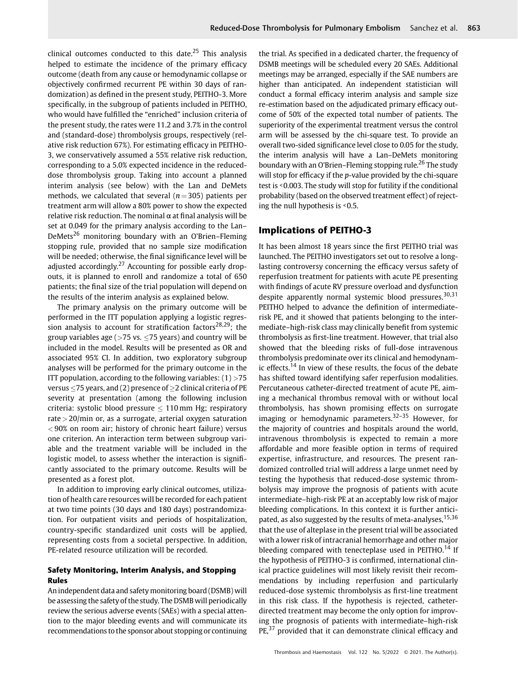clinical outcomes conducted to this date.<sup>25</sup> This analysis helped to estimate the incidence of the primary efficacy outcome (death from any cause or hemodynamic collapse or objectively confirmed recurrent PE within 30 days of randomization) as defined in the present study, PEITHO-3. More specifically, in the subgroup of patients included in PEITHO, who would have fulfilled the "enriched" inclusion criteria of the present study, the rates were 11.2 and 3.7% in the control and (standard-dose) thrombolysis groups, respectively (relative risk reduction 67%). For estimating efficacy in PEITHO-3, we conservatively assumed a 55% relative risk reduction, corresponding to a 5.0% expected incidence in the reduceddose thrombolysis group. Taking into account a planned interim analysis (see below) with the Lan and DeMets methods, we calculated that several ( $n = 305$ ) patients per treatment arm will allow a 80% power to show the expected relative risk reduction. The nominal  $\alpha$  at final analysis will be set at 0.049 for the primary analysis according to the Lan– DeMets<sup>26</sup> monitoring boundary with an O'Brien-Fleming stopping rule, provided that no sample size modification will be needed; otherwise, the final significance level will be adjusted accordingly.<sup>27</sup> Accounting for possible early dropouts, it is planned to enroll and randomize a total of 650 patients; the final size of the trial population will depend on the results of the interim analysis as explained below.

The primary analysis on the primary outcome will be performed in the ITT population applying a logistic regression analysis to account for stratification factors<sup>28,29</sup>; the group variables age ( $>75$  vs.  $< 75$  years) and country will be included in the model. Results will be presented as OR and associated 95% CI. In addition, two exploratory subgroup analyses will be performed for the primary outcome in the ITT population, according to the following variables:  $(1) > 75$ versus  $\leq$  75 years, and (2) presence of  $\geq$  2 clinical criteria of PE severity at presentation (among the following inclusion criteria: systolic blood pressure  $\leq 110$  mm Hg; respiratory rate  $>$  20/min or, as a surrogate, arterial oxygen saturation < 90% on room air; history of chronic heart failure) versus one criterion. An interaction term between subgroup variable and the treatment variable will be included in the logistic model, to assess whether the interaction is significantly associated to the primary outcome. Results will be presented as a forest plot.

In addition to improving early clinical outcomes, utilization of health care resources will be recorded for each patient at two time points (30 days and 180 days) postrandomization. For outpatient visits and periods of hospitalization, country-specific standardized unit costs will be applied, representing costs from a societal perspective. In addition, PE-related resource utilization will be recorded.

# Safety Monitoring, Interim Analysis, and Stopping Rules

An independent data and safety monitoring board (DSMB) will be assessing the safety of the study. The DSMB will periodically review the serious adverse events (SAEs) with a special attention to the major bleeding events and will communicate its recommendations to the sponsor about stopping or continuing the trial. As specified in a dedicated charter, the frequency of DSMB meetings will be scheduled every 20 SAEs. Additional meetings may be arranged, especially if the SAE numbers are higher than anticipated. An independent statistician will conduct a formal efficacy interim analysis and sample size re-estimation based on the adjudicated primary efficacy outcome of 50% of the expected total number of patients. The superiority of the experimental treatment versus the control arm will be assessed by the chi-square test. To provide an overall two-sided significance level close to 0.05 for the study, the interim analysis will have a Lan–DeMets monitoring boundary with an O'Brien–Fleming stopping rule.<sup>26</sup> The study will stop for efficacy if the *p*-value provided by the chi-square test is ˂0.003. The study will stop for futility if the conditional probability (based on the observed treatment effect) of rejecting the null hypothesis is ˂0.5.

# Implications of PEITHO-3

It has been almost 18 years since the first PEITHO trial was launched. The PEITHO investigators set out to resolve a longlasting controversy concerning the efficacy versus safety of reperfusion treatment for patients with acute PE presenting with findings of acute RV pressure overload and dysfunction despite apparently normal systemic blood pressures.<sup>30,31</sup> PEITHO helped to advance the definition of intermediaterisk PE, and it showed that patients belonging to the intermediate–high-risk class may clinically benefit from systemic thrombolysis as first-line treatment. However, that trial also showed that the bleeding risks of full-dose intravenous thrombolysis predominate over its clinical and hemodynamic effects.<sup>14</sup> In view of these results, the focus of the debate has shifted toward identifying safer reperfusion modalities. Percutaneous catheter-directed treatment of acute PE, aiming a mechanical thrombus removal with or without local thrombolysis, has shown promising effects on surrogate imaging or hemodynamic parameters. $32-35$  However, for the majority of countries and hospitals around the world, intravenous thrombolysis is expected to remain a more affordable and more feasible option in terms of required expertise, infrastructure, and resources. The present randomized controlled trial will address a large unmet need by testing the hypothesis that reduced-dose systemic thrombolysis may improve the prognosis of patients with acute intermediate–high-risk PE at an acceptably low risk of major bleeding complications. In this context it is further anticipated, as also suggested by the results of meta-analyses, <sup>15,36</sup> that the use of alteplase in the present trial will be associated with a lower risk of intracranial hemorrhage and other major bleeding compared with tenecteplase used in PEITHO.<sup>14</sup> If the hypothesis of PEITHO-3 is confirmed, international clinical practice guidelines will most likely revisit their recommendations by including reperfusion and particularly reduced-dose systemic thrombolysis as first-line treatment in this risk class. If the hypothesis is rejected, catheterdirected treatment may become the only option for improving the prognosis of patients with intermediate–high-risk  $PE<sub>1</sub><sup>37</sup>$  provided that it can demonstrate clinical efficacy and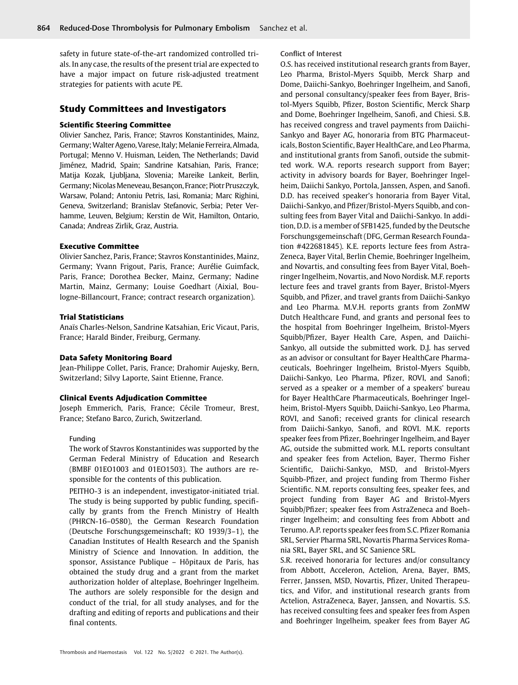safety in future state-of-the-art randomized controlled trials. In any case, the results of the present trial are expected to have a major impact on future risk-adjusted treatment strategies for patients with acute PE.

# Study Committees and Investigators

#### Scientific Steering Committee

Olivier Sanchez, Paris, France; Stavros Konstantinides, Mainz, Germany; Walter Ageno, Varese, Italy; Melanie Ferreira, Almada, Portugal; Menno V. Huisman, Leiden, The Netherlands; David Jiménez, Madrid, Spain; Sandrine Katsahian, Paris, France; Matija Kozak, Ljubljana, Slovenia; Mareike Lankeit, Berlin, Germany; Nicolas Meneveau, Besançon, France; Piotr Pruszczyk, Warsaw, Poland; Antoniu Petris, Iasi, Romania; Marc Righini, Geneva, Switzerland; Branislav Stefanovic, Serbia; Peter Verhamme, Leuven, Belgium; Kerstin de Wit, Hamilton, Ontario, Canada; Andreas Zirlik, Graz, Austria.

## Executive Committee

Olivier Sanchez, Paris, France; Stavros Konstantinides, Mainz, Germany; Yvann Frigout, Paris, France; Aurélie Guimfack, Paris, France; Dorothea Becker, Mainz, Germany; Nadine Martin, Mainz, Germany; Louise Goedhart (Aixial, Boulogne-Billancourt, France; contract research organization).

## Trial Statisticians

Anaïs Charles-Nelson, Sandrine Katsahian, Eric Vicaut, Paris, France; Harald Binder, Freiburg, Germany.

#### Data Safety Monitoring Board

Jean-Philippe Collet, Paris, France; Drahomir Aujesky, Bern, Switzerland; Silvy Laporte, Saint Etienne, France.

#### Clinical Events Adjudication Committee

Joseph Emmerich, Paris, France; Cécile Tromeur, Brest, France; Stefano Barco, Zurich, Switzerland.

#### Funding

The work of Stavros Konstantinides was supported by the German Federal Ministry of Education and Research (BMBF 01EO1003 and 01EO1503). The authors are responsible for the contents of this publication.

PEITHO-3 is an independent, investigator-initiated trial. The study is being supported by public funding, specifically by grants from the French Ministry of Health (PHRCN-16–0580), the German Research Foundation (Deutsche Forschungsgemeinschaft; KO 1939/3–1), the Canadian Institutes of Health Research and the Spanish Ministry of Science and Innovation. In addition, the sponsor, Assistance Publique – Hôpitaux de Paris, has obtained the study drug and a grant from the market authorization holder of alteplase, Boehringer Ingelheim. The authors are solely responsible for the design and conduct of the trial, for all study analyses, and for the drafting and editing of reports and publications and their final contents.

#### Conflict of Interest

O.S. has received institutional research grants from Bayer, Leo Pharma, Bristol-Myers Squibb, Merck Sharp and Dome, Daiichi-Sankyo, Boehringer Ingelheim, and Sanofi, and personal consultancy/speaker fees from Bayer, Bristol-Myers Squibb, Pfizer, Boston Scientific, Merck Sharp and Dome, Boehringer Ingelheim, Sanofi, and Chiesi. S.B. has received congress and travel payments from Daiichi-Sankyo and Bayer AG, honoraria from BTG Pharmaceuticals, Boston Scientific, Bayer HealthCare, and Leo Pharma, and institutional grants from Sanofi, outside the submitted work. W.A. reports research support from Bayer; activity in advisory boards for Bayer, Boehringer Ingelheim, Daiichi Sankyo, Portola, Janssen, Aspen, and Sanofi. D.D. has received speaker's honoraria from Bayer Vital, Daiichi-Sankyo, and Pfizer/Bristol-Myers Squibb, and consulting fees from Bayer Vital and Daiichi-Sankyo. In addition, D.D. is a member of SFB1425, funded by the Deutsche Forschungsgemeinschaft (DFG, German Research Foundation #422681845). K.E. reports lecture fees from Astra-Zeneca, Bayer Vital, Berlin Chemie, Boehringer Ingelheim, and Novartis, and consulting fees from Bayer Vital, Boehringer Ingelheim, Novartis, and Novo Nordisk. M.F. reports lecture fees and travel grants from Bayer, Bristol-Myers Squibb, and Pfizer, and travel grants from Daiichi-Sankyo and Leo Pharma. M.V.H. reports grants from ZonMW Dutch Healthcare Fund, and grants and personal fees to the hospital from Boehringer Ingelheim, Bristol-Myers Squibb/Pfizer, Bayer Health Care, Aspen, and Daiichi-Sankyo, all outside the submitted work. D.J. has served as an advisor or consultant for Bayer HealthCare Pharmaceuticals, Boehringer Ingelheim, Bristol-Myers Squibb, Daiichi-Sankyo, Leo Pharma, Pfizer, ROVI, and Sanofi; served as a speaker or a member of a speakers' bureau for Bayer HealthCare Pharmaceuticals, Boehringer Ingelheim, Bristol-Myers Squibb, Daiichi-Sankyo, Leo Pharma, ROVI, and Sanofi; received grants for clinical research from Daiichi-Sankyo, Sanofi, and ROVI. M.K. reports speaker fees from Pfizer, Boehringer Ingelheim, and Bayer AG, outside the submitted work. M.L. reports consultant and speaker fees from Actelion, Bayer, Thermo Fisher Scientific, Daiichi-Sankyo, MSD, and Bristol-Myers Squibb-Pfizer, and project funding from Thermo Fisher Scientific. N.M. reports consulting fees, speaker fees, and project funding from Bayer AG and Bristol-Myers Squibb/Pfizer; speaker fees from AstraZeneca and Boehringer Ingelheim; and consulting fees from Abbott and Terumo. A.P. reports speaker fees from S.C. Pfizer Romania SRL, Servier Pharma SRL, Novartis Pharma Services Romania SRL, Bayer SRL, and SC Sanience SRL.

S.R. received honoraria for lectures and/or consultancy from Abbott, Acceleron, Actelion, Arena, Bayer, BMS, Ferrer, Janssen, MSD, Novartis, Pfizer, United Therapeutics, and Vifor, and institutional research grants from Actelion, AstraZeneca, Bayer, Janssen, and Novartis. S.S. has received consulting fees and speaker fees from Aspen and Boehringer Ingelheim, speaker fees from Bayer AG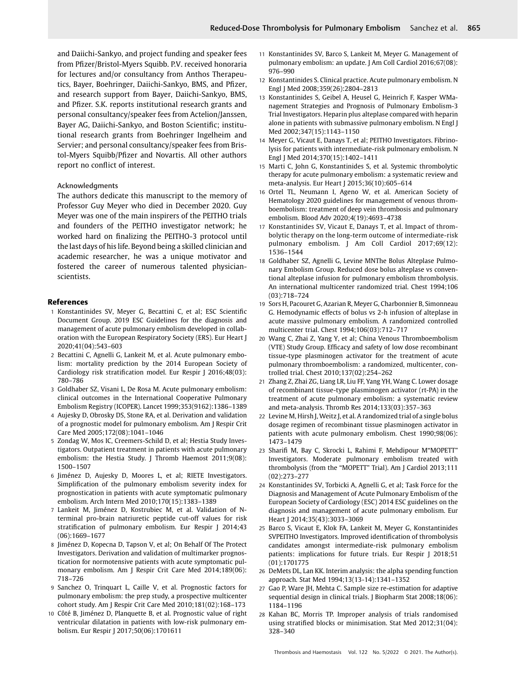and Daiichi-Sankyo, and project funding and speaker fees from Pfizer/Bristol-Myers Squibb. P.V. received honoraria for lectures and/or consultancy from Anthos Therapeutics, Bayer, Boehringer, Daiichi-Sankyo, BMS, and Pfizer, and research support from Bayer, Daiichi-Sankyo, BMS, and Pfizer. S.K. reports institutional research grants and personal consultancy/speaker fees from Actelion/Janssen, Bayer AG, Daiichi-Sankyo, and Boston Scientific; institutional research grants from Boehringer Ingelheim and Servier; and personal consultancy/speaker fees from Bristol-Myers Squibb/Pfizer and Novartis. All other authors report no conflict of interest.

#### Acknowledgments

The authors dedicate this manuscript to the memory of Professor Guy Meyer who died in December 2020. Guy Meyer was one of the main inspirers of the PEITHO trials and founders of the PEITHO investigator network; he worked hard on finalizing the PEITHO-3 protocol until the last days of his life. Beyond being a skilled clinician and academic researcher, he was a unique motivator and fostered the career of numerous talented physicianscientists.

# References

- 1 Konstantinides SV, Meyer G, Becattini C, et al; ESC Scientific Document Group. 2019 ESC Guidelines for the diagnosis and management of acute pulmonary embolism developed in collaboration with the European Respiratory Society (ERS). Eur Heart J 2020;41(04):543–603
- 2 Becattini C, Agnelli G, Lankeit M, et al. Acute pulmonary embolism: mortality prediction by the 2014 European Society of Cardiology risk stratification model. Eur Respir J 2016;48(03): 780–786
- 3 Goldhaber SZ, Visani L, De Rosa M. Acute pulmonary embolism: clinical outcomes in the International Cooperative Pulmonary Embolism Registry (ICOPER). Lancet 1999;353(9162):1386–1389
- 4 Aujesky D, Obrosky DS, Stone RA, et al. Derivation and validation of a prognostic model for pulmonary embolism. Am J Respir Crit Care Med 2005;172(08):1041–1046
- 5 Zondag W, Mos IC, Creemers-Schild D, et al; Hestia Study Investigators. Outpatient treatment in patients with acute pulmonary embolism: the Hestia Study. J Thromb Haemost 2011;9(08): 1500–1507
- 6 Jiménez D, Aujesky D, Moores L, et al; RIETE Investigators. Simplification of the pulmonary embolism severity index for prognostication in patients with acute symptomatic pulmonary embolism. Arch Intern Med 2010;170(15):1383–1389
- 7 Lankeit M, Jiménez D, Kostrubiec M, et al. Validation of Nterminal pro-brain natriuretic peptide cut-off values for risk stratification of pulmonary embolism. Eur Respir J 2014;43 (06):1669–1677
- 8 Jiménez D, Kopecna D, Tapson V, et al; On Behalf Of The Protect Investigators. Derivation and validation of multimarker prognostication for normotensive patients with acute symptomatic pulmonary embolism. Am J Respir Crit Care Med 2014;189(06): 718–726
- 9 Sanchez O, Trinquart L, Caille V, et al. Prognostic factors for pulmonary embolism: the prep study, a prospective multicenter cohort study. Am J Respir Crit Care Med 2010;181(02):168–173
- 10 Côté B, Jiménez D, Planquette B, et al. Prognostic value of right ventricular dilatation in patients with low-risk pulmonary embolism. Eur Respir J 2017;50(06):1701611
- 11 Konstantinides SV, Barco S, Lankeit M, Meyer G. Management of pulmonary embolism: an update. J Am Coll Cardiol 2016;67(08): 976–990
- 12 Konstantinides S. Clinical practice. Acute pulmonary embolism. N Engl J Med 2008;359(26):2804–2813
- 13 Konstantinides S, Geibel A, Heusel G, Heinrich F, Kasper WManagement Strategies and Prognosis of Pulmonary Embolism-3 Trial Investigators. Heparin plus alteplase compared with heparin alone in patients with submassive pulmonary embolism. N Engl J Med 2002;347(15):1143–1150
- 14 Meyer G, Vicaut E, Danays T, et al; PEITHO Investigators. Fibrinolysis for patients with intermediate-risk pulmonary embolism. N Engl J Med 2014;370(15):1402–1411
- 15 Marti C, John G, Konstantinides S, et al. Systemic thrombolytic therapy for acute pulmonary embolism: a systematic review and meta-analysis. Eur Heart J 2015;36(10):605–614
- 16 Ortel TL, Neumann I, Ageno W, et al. American Society of Hematology 2020 guidelines for management of venous thromboembolism: treatment of deep vein thrombosis and pulmonary embolism. Blood Adv 2020;4(19):4693–4738
- 17 Konstantinides SV, Vicaut E, Danays T, et al. Impact of thrombolytic therapy on the long-term outcome of intermediate-risk pulmonary embolism. J Am Coll Cardiol 2017;69(12): 1536–1544
- 18 Goldhaber SZ, Agnelli G, Levine MNThe Bolus Alteplase Pulmonary Embolism Group. Reduced dose bolus alteplase vs conventional alteplase infusion for pulmonary embolism thrombolysis. An international multicenter randomized trial. Chest 1994;106 (03):718–724
- 19 Sors H, Pacouret G, Azarian R, Meyer G, Charbonnier B, Simonneau G. Hemodynamic effects of bolus vs 2-h infusion of alteplase in acute massive pulmonary embolism. A randomized controlled multicenter trial. Chest 1994;106(03):712–717
- 20 Wang C, Zhai Z, Yang Y, et al; China Venous Thromboembolism (VTE) Study Group. Efficacy and safety of low dose recombinant tissue-type plasminogen activator for the treatment of acute pulmonary thromboembolism: a randomized, multicenter, controlled trial. Chest 2010;137(02):254–262
- 21 Zhang Z, Zhai ZG, Liang LR, Liu FF, Yang YH, Wang C. Lower dosage of recombinant tissue-type plasminogen activator (rt-PA) in the treatment of acute pulmonary embolism: a systematic review and meta-analysis. Thromb Res 2014;133(03):357–363
- 22 Levine M, Hirsh J, Weitz J, et al. A randomized trial of a single bolus dosage regimen of recombinant tissue plasminogen activator in patients with acute pulmonary embolism. Chest 1990;98(06): 1473–1479
- 23 Sharifi M, Bay C, Skrocki L, Rahimi F, Mehdipour M"MOPETT" Investigators. Moderate pulmonary embolism treated with thrombolysis (from the "MOPETT" Trial). Am J Cardiol 2013;111 (02):273–277
- 24 Konstantinides SV, Torbicki A, Agnelli G, et al; Task Force for the Diagnosis and Management of Acute Pulmonary Embolism of the European Society of Cardiology (ESC) 2014 ESC guidelines on the diagnosis and management of acute pulmonary embolism. Eur Heart J 2014;35(43):3033–3069
- 25 Barco S, Vicaut E, Klok FA, Lankeit M, Meyer G, Konstantinides SVPEITHO Investigators. Improved identification of thrombolysis candidates amongst intermediate-risk pulmonary embolism patients: implications for future trials. Eur Respir J 2018;51 (01):1701775
- 26 DeMets DL, Lan KK. Interim analysis: the alpha spending function approach. Stat Med 1994;13(13-14):1341–1352
- 27 Gao P, Ware JH, Mehta C. Sample size re-estimation for adaptive sequential design in clinical trials. J Biopharm Stat 2008;18(06): 1184–1196
- 28 Kahan BC, Morris TP. Improper analysis of trials randomised using stratified blocks or minimisation. Stat Med 2012;31(04): 328–340